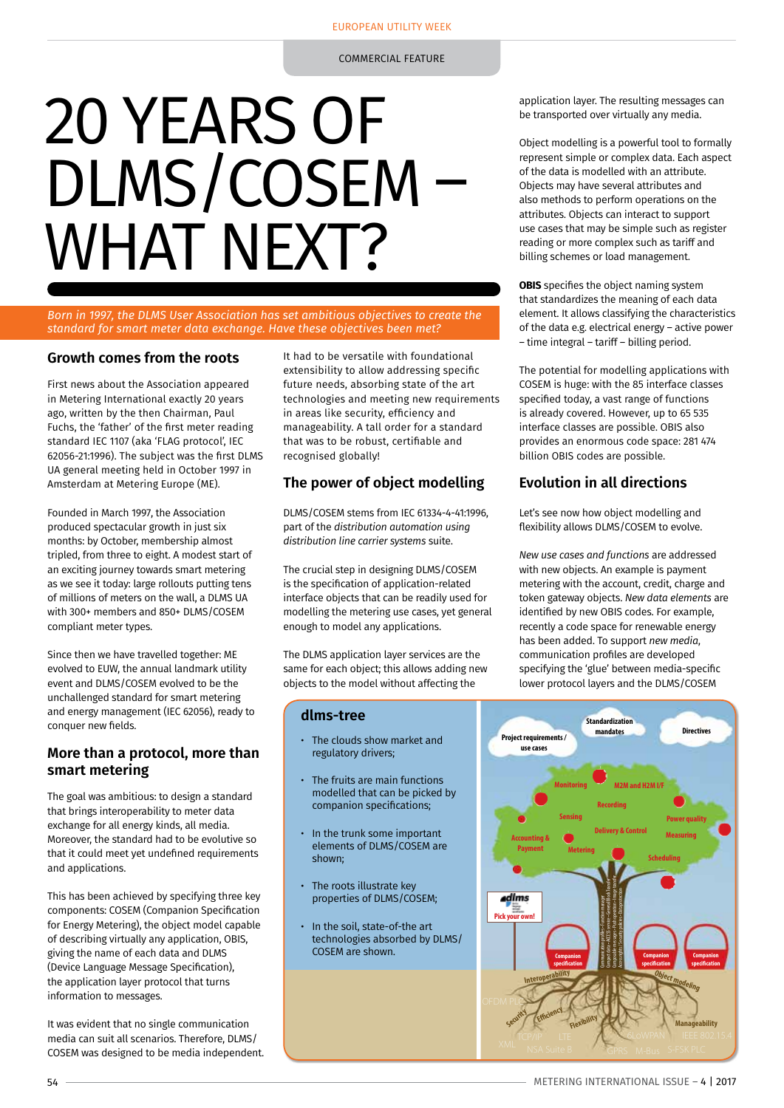# 20 YEARS OF DLMS/COSEM – WHAT NEXT?

*Born in 1997, the DLMS User Association has set ambitious objectives to create the standard for smart meter data exchange. Have these objectives been met?*

#### **Growth comes from the roots**

First news about the Association appeared in Metering International exactly 20 years ago, written by the then Chairman, Paul Fuchs, the 'father' of the first meter reading standard IEC 1107 (aka 'FLAG protocol', IEC 62056-21:1996). The subject was the first DLMS UA general meeting held in October 1997 in Amsterdam at Metering Europe (ME).

Founded in March 1997, the Association produced spectacular growth in just six months: by October, membership almost tripled, from three to eight. A modest start of an exciting journey towards smart metering as we see it today: large rollouts putting tens of millions of meters on the wall, a DLMS UA with 300+ members and 850+ DLMS/COSEM compliant meter types.

Since then we have travelled together: ME evolved to EUW, the annual landmark utility event and DLMS/COSEM evolved to be the unchallenged standard for smart metering and energy management (IEC 62056), ready to conquer new fields.

# **More than a protocol, more than smart metering**

The goal was ambitious: to design a standard that brings interoperability to meter data exchange for all energy kinds, all media. Moreover, the standard had to be evolutive so that it could meet yet undefined requirements and applications.

This has been achieved by specifying three key components: COSEM (Companion Specification for Energy Metering), the object model capable of describing virtually any application, OBIS, giving the name of each data and DLMS (Device Language Message Specification), the application layer protocol that turns information to messages.

It was evident that no single communication media can suit all scenarios. Therefore, DLMS/ COSEM was designed to be media independent. It had to be versatile with foundational extensibility to allow addressing specific future needs, absorbing state of the art technologies and meeting new requirements in areas like security, efficiency and manageability. A tall order for a standard that was to be robust, certifiable and recognised globally!

# **The power of object modelling**

DLMS/COSEM stems from IEC 61334-4-41:1996, part of the *distribution automation using distribution line carrier systems* suite.

The crucial step in designing DLMS/COSEM is the specification of application-related interface objects that can be readily used for modelling the metering use cases, yet general enough to model any applications.

The DLMS application layer services are the same for each object; this allows adding new objects to the model without affecting the

**dlms-tree**

- The clouds show market and regulatory drivers;
- The fruits are main functions modelled that can be picked by companion specifications;
- In the trunk some important elements of DLMS/COSEM are shown;
- The roots illustrate key properties of DLMS/COSEM;
- In the soil, state-of-the art technologies absorbed by DLMS/ COSEM are shown.

application layer. The resulting messages can be transported over virtually any media.

Object modelling is a powerful tool to formally represent simple or complex data. Each aspect of the data is modelled with an attribute. Objects may have several attributes and also methods to perform operations on the attributes. Objects can interact to support use cases that may be simple such as register reading or more complex such as tariff and billing schemes or load management.

**OBIS** specifies the object naming system that standardizes the meaning of each data element. It allows classifying the characteristics of the data e.g. electrical energy – active power – time integral – tariff – billing period.

The potential for modelling applications with COSEM is huge: with the 85 interface classes specified today, a vast range of functions is already covered. However, up to 65 535 interface classes are possible. OBIS also provides an enormous code space: 281 474 billion OBIS codes are possible.

# **Evolution in all directions**

Let's see now how object modelling and flexibility allows DLMS/COSEM to evolve.

*New use cases and functions* are addressed with new objects. An example is payment metering with the account, credit, charge and token gateway objects. *New data elements* are identified by new OBIS codes. For example, recently a code space for renewable energy has been added. To support *new media*, communication profiles are developed specifying the 'glue' between media-specific lower protocol layers and the DLMS/COSEM